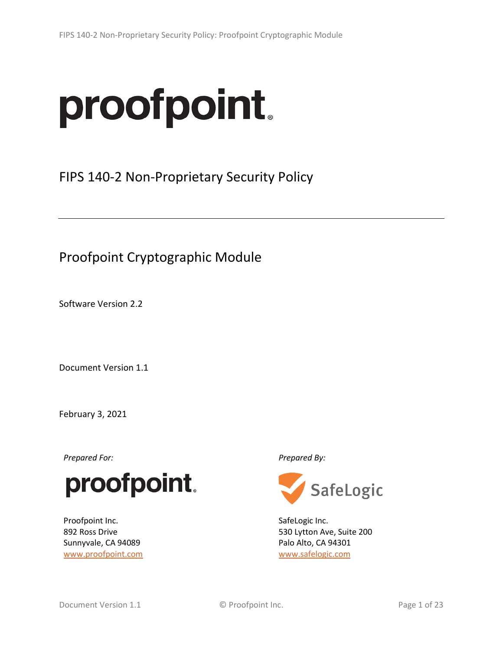# proofpoint.

FIPS 140-2 Non-Proprietary Security Policy

Proofpoint Cryptographic Module

Software Version 2.2

Document Version 1.1

February 3, 2021

*Prepared For: Prepared By:*



Proofpoint Inc. 892 Ross Drive Sunnyvale, CA 94089 [www.proofpoint.com](http://www.proofpoint.com/)



SafeLogic Inc. 530 Lytton Ave, Suite 200 Palo Alto, CA 94301 [www.safelogic.com](http://www.safelogic.com/)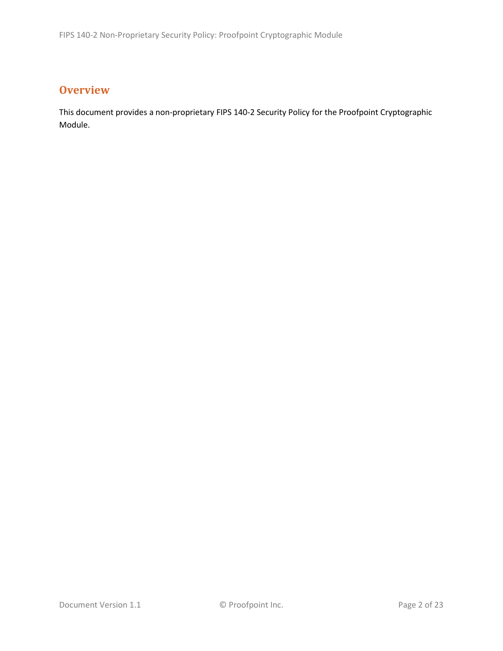# **Overview**

This document provides a non-proprietary FIPS 140-2 Security Policy for the Proofpoint Cryptographic Module.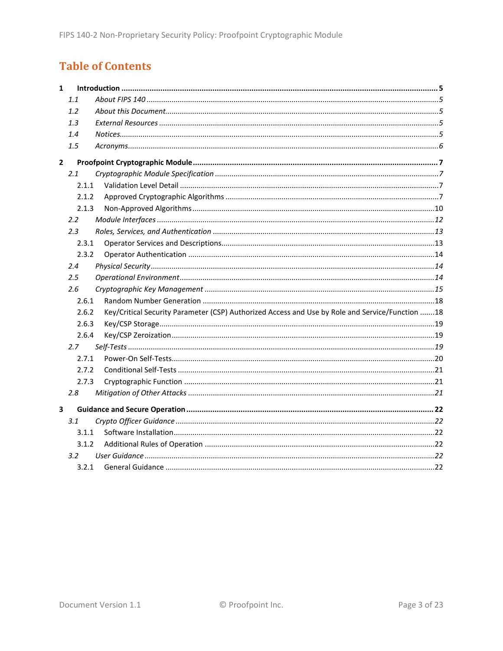# **Table of Contents**

| $\mathbf{1}$ |                  |                                                                                                 |
|--------------|------------------|-------------------------------------------------------------------------------------------------|
|              | 1.1              |                                                                                                 |
|              | 1.2              |                                                                                                 |
|              | 1.3              |                                                                                                 |
|              | 1.4              |                                                                                                 |
|              | 1.5              |                                                                                                 |
| $\mathbf{2}$ |                  |                                                                                                 |
|              | 2.1              |                                                                                                 |
|              | 2.1.1            |                                                                                                 |
|              | 2.1.2            |                                                                                                 |
|              | 2.1.3            |                                                                                                 |
|              | $2.2^{\circ}$    |                                                                                                 |
|              | 2.3              |                                                                                                 |
|              | 2.3.1            |                                                                                                 |
|              | 2.3.2            |                                                                                                 |
|              | 2.4              |                                                                                                 |
|              | 2.5              |                                                                                                 |
|              | 2.6              |                                                                                                 |
|              | 2.6.1            |                                                                                                 |
|              | 2.6.2            | Key/Critical Security Parameter (CSP) Authorized Access and Use by Role and Service/Function 18 |
|              | 2.6.3            |                                                                                                 |
|              | 2.6.4            |                                                                                                 |
|              | 2.7              |                                                                                                 |
|              | 2.7.1            |                                                                                                 |
|              | 2.7.2            |                                                                                                 |
|              | 2.7.3            |                                                                                                 |
|              | 2.8              |                                                                                                 |
| 3            |                  |                                                                                                 |
|              | 3.1              |                                                                                                 |
|              | 3.1.1            |                                                                                                 |
|              | 3.1.2            |                                                                                                 |
|              | 3.2 <sub>2</sub> |                                                                                                 |
|              | 3.2.1            |                                                                                                 |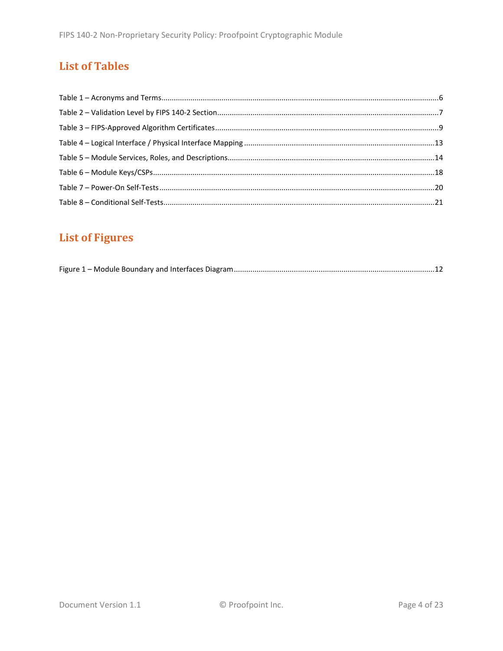# **List of Tables**

# **List of Figures**

|--|--|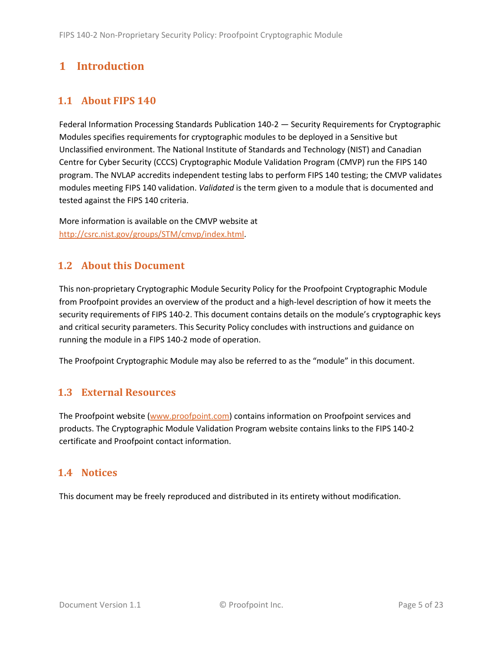# <span id="page-4-0"></span>**1 Introduction**

# <span id="page-4-1"></span>**1.1 About FIPS 140**

Federal Information Processing Standards Publication 140-2 — Security Requirements for Cryptographic Modules specifies requirements for cryptographic modules to be deployed in a Sensitive but Unclassified environment. The National Institute of Standards and Technology (NIST) and Canadian Centre for Cyber Security (CCCS) Cryptographic Module Validation Program (CMVP) run the FIPS 140 program. The NVLAP accredits independent testing labs to perform FIPS 140 testing; the CMVP validates modules meeting FIPS 140 validation. *Validated* is the term given to a module that is documented and tested against the FIPS 140 criteria.

More information is available on the CMVP website at [http://csrc.nist.gov/groups/STM/cmvp/index.html.](http://csrc.nist.gov/groups/STM/cmvp/index.html)

# <span id="page-4-2"></span>**1.2 About this Document**

This non-proprietary Cryptographic Module Security Policy for the Proofpoint Cryptographic Module from Proofpoint provides an overview of the product and a high-level description of how it meets the security requirements of FIPS 140-2. This document contains details on the module's cryptographic keys and critical security parameters. This Security Policy concludes with instructions and guidance on running the module in a FIPS 140-2 mode of operation.

The Proofpoint Cryptographic Module may also be referred to as the "module" in this document.

# <span id="page-4-3"></span>**1.3 External Resources**

The Proofpoint website [\(www.proofpoint.com\)](http://www.proofpoint.com/) contains information on Proofpoint services and products. The Cryptographic Module Validation Program website contains links to the FIPS 140-2 certificate and Proofpoint contact information.

## <span id="page-4-4"></span>**1.4 Notices**

This document may be freely reproduced and distributed in its entirety without modification.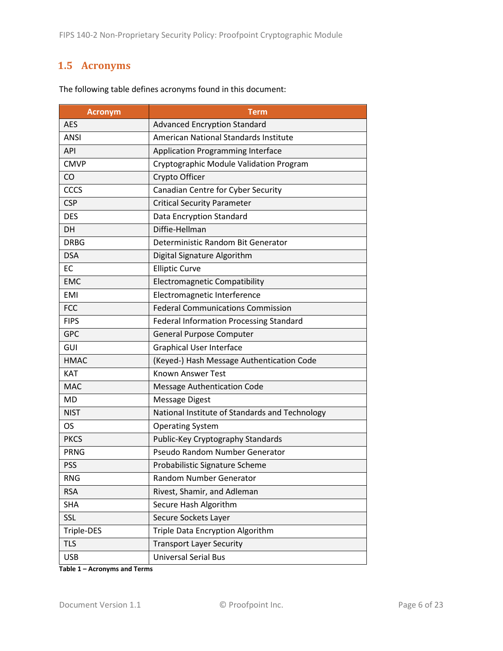# <span id="page-5-0"></span>**1.5 Acronyms**

| <b>Acronym</b> | <b>Term</b>                                    |
|----------------|------------------------------------------------|
| <b>AES</b>     | <b>Advanced Encryption Standard</b>            |
| <b>ANSI</b>    | American National Standards Institute          |
| API            | <b>Application Programming Interface</b>       |
| <b>CMVP</b>    | Cryptographic Module Validation Program        |
| CO             | Crypto Officer                                 |
| CCCS           | Canadian Centre for Cyber Security             |
| <b>CSP</b>     | <b>Critical Security Parameter</b>             |
| <b>DES</b>     | Data Encryption Standard                       |
| DH             | Diffie-Hellman                                 |
| <b>DRBG</b>    | Deterministic Random Bit Generator             |
| <b>DSA</b>     | Digital Signature Algorithm                    |
| <b>EC</b>      | <b>Elliptic Curve</b>                          |
| <b>EMC</b>     | <b>Electromagnetic Compatibility</b>           |
| <b>EMI</b>     | Electromagnetic Interference                   |
| <b>FCC</b>     | <b>Federal Communications Commission</b>       |
| <b>FIPS</b>    | <b>Federal Information Processing Standard</b> |
| <b>GPC</b>     | General Purpose Computer                       |
| GUI            | <b>Graphical User Interface</b>                |
| <b>HMAC</b>    | (Keyed-) Hash Message Authentication Code      |
| <b>KAT</b>     | <b>Known Answer Test</b>                       |
| <b>MAC</b>     | <b>Message Authentication Code</b>             |
| MD             | <b>Message Digest</b>                          |
| <b>NIST</b>    | National Institute of Standards and Technology |
| <b>OS</b>      | <b>Operating System</b>                        |
| <b>PKCS</b>    | Public-Key Cryptography Standards              |
| <b>PRNG</b>    | Pseudo Random Number Generator                 |
| <b>PSS</b>     | Probabilistic Signature Scheme                 |
| <b>RNG</b>     | Random Number Generator                        |
| <b>RSA</b>     | Rivest, Shamir, and Adleman                    |
| <b>SHA</b>     | Secure Hash Algorithm                          |
| SSL            | Secure Sockets Layer                           |
| Triple-DES     | Triple Data Encryption Algorithm               |
| <b>TLS</b>     | <b>Transport Layer Security</b>                |
| <b>USB</b>     | <b>Universal Serial Bus</b>                    |

The following table defines acronyms found in this document:

**Table 1 – Acronyms and Terms**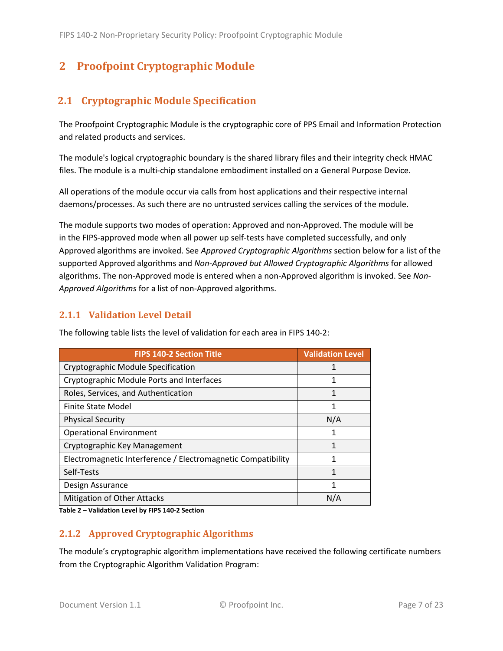# <span id="page-6-0"></span>**2 Proofpoint Cryptographic Module**

## <span id="page-6-1"></span>**2.1 Cryptographic Module Specification**

The Proofpoint Cryptographic Module is the cryptographic core of PPS Email and Information Protection and related products and services.

The module's logical cryptographic boundary is the shared library files and their integrity check HMAC files. The module is a multi-chip standalone embodiment installed on a General Purpose Device.

All operations of the module occur via calls from host applications and their respective internal daemons/processes. As such there are no untrusted services calling the services of the module.

The module supports two modes of operation: Approved and non-Approved. The module will be in the FIPS-approved mode when all power up self-tests have completed successfully, and only Approved algorithms are invoked. See *Approved Cryptographic Algorithms* section below for a list of the supported Approved algorithms and *Non-Approved but Allowed Cryptographic Algorithms* for allowed algorithms. The non-Approved mode is entered when a non-Approved algorithm is invoked. See *Non-Approved Algorithms* for a list of non-Approved algorithms.

#### <span id="page-6-2"></span>**2.1.1 Validation Level Detail**

| <b>FIPS 140-2 Section Title</b>                              | <b>Validation Level</b> |
|--------------------------------------------------------------|-------------------------|
| Cryptographic Module Specification                           |                         |
| Cryptographic Module Ports and Interfaces                    |                         |
| Roles, Services, and Authentication                          | 1                       |
| Finite State Model                                           | 1                       |
| <b>Physical Security</b>                                     | N/A                     |
| <b>Operational Environment</b>                               | 1                       |
| Cryptographic Key Management                                 | 1                       |
| Electromagnetic Interference / Electromagnetic Compatibility |                         |
| Self-Tests                                                   | 1                       |
| Design Assurance                                             | 1                       |
| Mitigation of Other Attacks                                  | N/A                     |

The following table lists the level of validation for each area in FIPS 140-2:

**Table 2 – Validation Level by FIPS 140-2 Section**

#### <span id="page-6-3"></span>**2.1.2 Approved Cryptographic Algorithms**

The module's cryptographic algorithm implementations have received the following certificate numbers from the Cryptographic Algorithm Validation Program: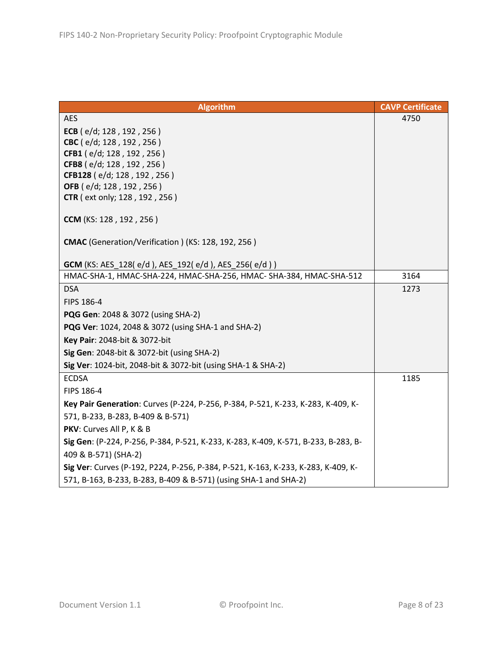| <b>Algorithm</b>                                                                   | <b>CAVP Certificate</b> |
|------------------------------------------------------------------------------------|-------------------------|
| <b>AES</b>                                                                         | 4750                    |
| ECB ( $e/d$ ; 128, 192, 256)                                                       |                         |
| CBC (e/d; 128, 192, 256)                                                           |                         |
| CFB1 (e/d; 128, 192, 256)                                                          |                         |
| CFB8 (e/d; 128, 192, 256)                                                          |                         |
| CFB128 (e/d; 128, 192, 256)<br>OFB (e/d; 128, 192, 256)                            |                         |
| <b>CTR</b> ( ext only; 128, 192, 256)                                              |                         |
|                                                                                    |                         |
| CCM (KS: 128, 192, 256)                                                            |                         |
|                                                                                    |                         |
| CMAC (Generation/Verification) (KS: 128, 192, 256)                                 |                         |
| GCM (KS: AES_128(e/d), AES_192(e/d), AES_256(e/d))                                 |                         |
| HMAC-SHA-1, HMAC-SHA-224, HMAC-SHA-256, HMAC- SHA-384, HMAC-SHA-512                | 3164                    |
| <b>DSA</b>                                                                         | 1273                    |
| FIPS 186-4                                                                         |                         |
| PQG Gen: 2048 & 3072 (using SHA-2)                                                 |                         |
| PQG Ver: 1024, 2048 & 3072 (using SHA-1 and SHA-2)                                 |                         |
| Key Pair: 2048-bit & 3072-bit                                                      |                         |
| Sig Gen: 2048-bit & 3072-bit (using SHA-2)                                         |                         |
| Sig Ver: 1024-bit, 2048-bit & 3072-bit (using SHA-1 & SHA-2)                       |                         |
| <b>ECDSA</b>                                                                       | 1185                    |
| FIPS 186-4                                                                         |                         |
| Key Pair Generation: Curves (P-224, P-256, P-384, P-521, K-233, K-283, K-409, K-   |                         |
|                                                                                    |                         |
| 571, B-233, B-283, B-409 & B-571)                                                  |                         |
| PKV: Curves All P, K & B                                                           |                         |
| Sig Gen: (P-224, P-256, P-384, P-521, K-233, K-283, K-409, K-571, B-233, B-283, B- |                         |
| 409 & B-571) (SHA-2)                                                               |                         |
| Sig Ver: Curves (P-192, P224, P-256, P-384, P-521, K-163, K-233, K-283, K-409, K-  |                         |
| 571, B-163, B-233, B-283, B-409 & B-571) (using SHA-1 and SHA-2)                   |                         |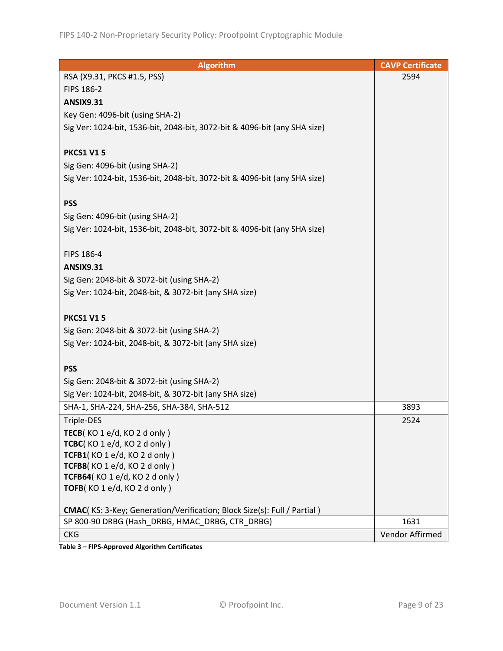| <b>Algorithm</b>                                                          | <b>CAVP Certificate</b> |
|---------------------------------------------------------------------------|-------------------------|
| RSA (X9.31, PKCS #1.5, PSS)                                               | 2594                    |
| FIPS 186-2                                                                |                         |
| <b>ANSIX9.31</b>                                                          |                         |
| Key Gen: 4096-bit (using SHA-2)                                           |                         |
| Sig Ver: 1024-bit, 1536-bit, 2048-bit, 3072-bit & 4096-bit (any SHA size) |                         |
|                                                                           |                         |
| <b>PKCS1 V15</b>                                                          |                         |
| Sig Gen: 4096-bit (using SHA-2)                                           |                         |
| Sig Ver: 1024-bit, 1536-bit, 2048-bit, 3072-bit & 4096-bit (any SHA size) |                         |
|                                                                           |                         |
| <b>PSS</b>                                                                |                         |
| Sig Gen: 4096-bit (using SHA-2)                                           |                         |
| Sig Ver: 1024-bit, 1536-bit, 2048-bit, 3072-bit & 4096-bit (any SHA size) |                         |
|                                                                           |                         |
| FIPS 186-4                                                                |                         |
| <b>ANSIX9.31</b>                                                          |                         |
| Sig Gen: 2048-bit & 3072-bit (using SHA-2)                                |                         |
| Sig Ver: 1024-bit, 2048-bit, & 3072-bit (any SHA size)                    |                         |
|                                                                           |                         |
| <b>PKCS1 V15</b>                                                          |                         |
| Sig Gen: 2048-bit & 3072-bit (using SHA-2)                                |                         |
| Sig Ver: 1024-bit, 2048-bit, & 3072-bit (any SHA size)                    |                         |
|                                                                           |                         |
| <b>PSS</b>                                                                |                         |
| Sig Gen: 2048-bit & 3072-bit (using SHA-2)                                |                         |
| Sig Ver: 1024-bit, 2048-bit, & 3072-bit (any SHA size)                    |                         |
| SHA-1, SHA-224, SHA-256, SHA-384, SHA-512                                 | 3893                    |
| Triple-DES                                                                | 2524                    |
| TECB(KO 1 e/d, KO 2 d only)                                               |                         |
| TCBC(KO1e/d, KO2donly)                                                    |                         |
| TCFB1(KO 1 e/d, KO 2 d only)                                              |                         |
| TCFB8(KO 1 e/d, KO 2 d only)                                              |                         |
| TCFB64(KO 1 e/d, KO 2 d only)                                             |                         |
| TOFB(KO 1 e/d, KO 2 d only)                                               |                         |
| CMAC(KS: 3-Key; Generation/Verification; Block Size(s): Full / Partial )  |                         |
| SP 800-90 DRBG (Hash DRBG, HMAC DRBG, CTR DRBG)                           | 1631                    |
| <b>CKG</b>                                                                | Vendor Affirmed         |
|                                                                           |                         |

**Table 3 – FIPS-Approved Algorithm Certificates**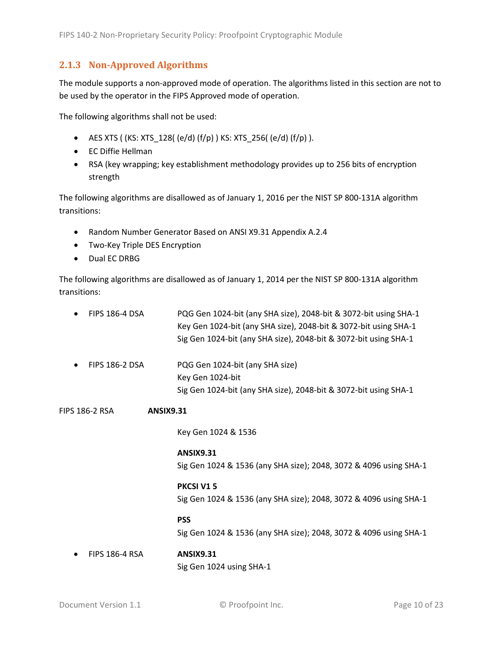#### <span id="page-9-0"></span>**2.1.3 Non-Approved Algorithms**

The module supports a non-approved mode of operation. The algorithms listed in this section are not to be used by the operator in the FIPS Approved mode of operation.

The following algorithms shall not be used:

- AES XTS (  $(KS: XTS_128$   $(e/d)$   $(f/p)$  )  $KS: XTS_256$   $(e/d)$   $(f/p)$  ).
- EC Diffie Hellman
- RSA (key wrapping; key establishment methodology provides up to 256 bits of encryption strength

The following algorithms are disallowed as of January 1, 2016 per the NIST SP 800-131A algorithm transitions:

- Random Number Generator Based on ANSI X9.31 Appendix A.2.4
- Two-Key Triple DES Encryption
- Dual EC DRBG

The following algorithms are disallowed as of January 1, 2014 per the NIST SP 800-131A algorithm transitions:

| <b>FIPS 186-4 DSA</b>              | PQG Gen 1024-bit (any SHA size), 2048-bit & 3072-bit using SHA-1<br>Key Gen 1024-bit (any SHA size), 2048-bit & 3072-bit using SHA-1<br>Sig Gen 1024-bit (any SHA size), 2048-bit & 3072-bit using SHA-1 |
|------------------------------------|----------------------------------------------------------------------------------------------------------------------------------------------------------------------------------------------------------|
| <b>FIPS 186-2 DSA</b>              | PQG Gen 1024-bit (any SHA size)<br>Key Gen 1024-bit<br>Sig Gen 1024-bit (any SHA size), 2048-bit & 3072-bit using SHA-1                                                                                  |
| FIPS 186-2 RSA<br><b>ANSIX9.31</b> |                                                                                                                                                                                                          |
|                                    | Key Gen 1024 & 1536                                                                                                                                                                                      |
|                                    | <b>ANSIX9.31</b><br>Sig Gen 1024 & 1536 (any SHA size); 2048, 3072 & 4096 using SHA-1                                                                                                                    |
|                                    | PKCSI V15<br>Sig Gen 1024 & 1536 (any SHA size); 2048, 3072 & 4096 using SHA-1                                                                                                                           |
|                                    | <b>PSS</b>                                                                                                                                                                                               |

Sig Gen 1024 & 1536 (any SHA size); 2048, 3072 & 4096 using SHA-1

• FIPS 186-4 RSA **ANSIX9.31** Sig Gen 1024 using SHA-1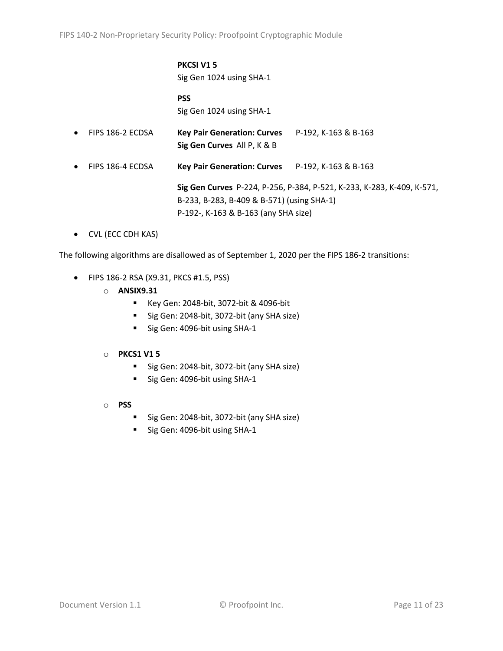# **PKCSI V1 5**

Sig Gen 1024 using SHA-1

**PSS** Sig Gen 1024 using SHA-1

- FIPS 186-2 ECDSA **Key Pair Generation: Curves** P-192, K-163 & B-163 **Sig Gen Curves** All P, K & B
- FIPS 186-4 ECDSA **Key Pair Generation: Curves** P-192, K-163 & B-163

**Sig Gen Curves** P-224, P-256, P-384, P-521, K-233, K-283, K-409, K-571, B-233, B-283, B-409 & B-571) (using SHA-1) P-192-, K-163 & B-163 (any SHA size)

• CVL (ECC CDH KAS)

The following algorithms are disallowed as of September 1, 2020 per the FIPS 186-2 transitions:

- FIPS 186-2 RSA (X9.31, PKCS #1.5, PSS)
	- o **ANSIX9.31**
		- Key Gen: 2048-bit, 3072-bit & 4096-bit
		- Sig Gen: 2048-bit, 3072-bit (any SHA size)
		- Sig Gen: 4096-bit using SHA-1

#### o **PKCS1 V1 5**

- Sig Gen: 2048-bit, 3072-bit (any SHA size)
- Sig Gen: 4096-bit using SHA-1
- o **PSS**
	- Sig Gen: 2048-bit, 3072-bit (any SHA size)
	- Sig Gen: 4096-bit using SHA-1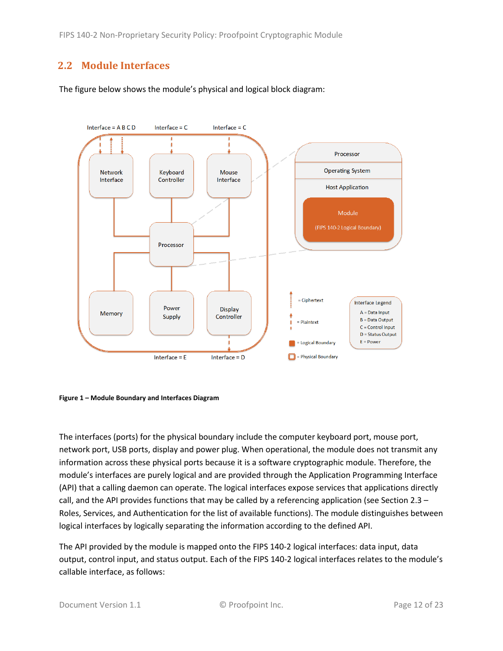# <span id="page-11-0"></span>**2.2 Module Interfaces**

The figure below shows the module's physical and logical block diagram:



<span id="page-11-1"></span>

The interfaces (ports) for the physical boundary include the computer keyboard port, mouse port, network port, USB ports, display and power plug. When operational, the module does not transmit any information across these physical ports because it is a software cryptographic module. Therefore, the module's interfaces are purely logical and are provided through the Application Programming Interface (API) that a calling daemon can operate. The logical interfaces expose services that applications directly call, and the API provides functions that may be called by a referencing application (see Sectio[n 2.3](#page-12-0) – [Roles, Services, and Authentication](#page-12-0) for the list of available functions). The module distinguishes between logical interfaces by logically separating the information according to the defined API.

The API provided by the module is mapped onto the FIPS 140-2 logical interfaces: data input, data output, control input, and status output. Each of the FIPS 140-2 logical interfaces relates to the module's callable interface, as follows: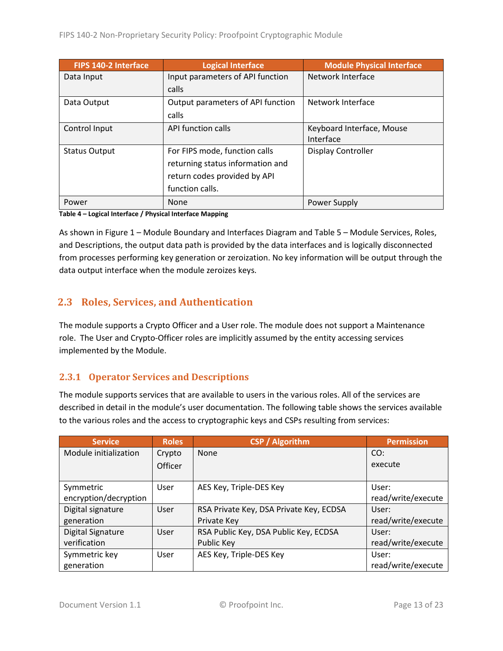| FIPS 140-2 Interface | <b>Logical Interface</b>          | <b>Module Physical Interface</b> |
|----------------------|-----------------------------------|----------------------------------|
| Data Input           | Input parameters of API function  | Network Interface                |
|                      | calls                             |                                  |
| Data Output          | Output parameters of API function | Network Interface                |
|                      | calls                             |                                  |
| Control Input        | API function calls                | Keyboard Interface, Mouse        |
|                      |                                   | Interface                        |
| <b>Status Output</b> | For FIPS mode, function calls     | Display Controller               |
|                      | returning status information and  |                                  |
|                      | return codes provided by API      |                                  |
|                      | function calls.                   |                                  |
| Power                | <b>None</b>                       | Power Supply                     |

**Table 4 – Logical Interface / Physical Interface Mapping**

As shown in Figure 1 – [Module Boundary and Interfaces Diagram](#page-11-1) and Table 5 – Module [Services, Roles,](#page-13-3) [and Descriptions,](#page-13-3) the output data path is provided by the data interfaces and is logically disconnected from processes performing key generation or zeroization. No key information will be output through the data output interface when the module zeroizes keys.

## <span id="page-12-0"></span>**2.3 Roles, Services, and Authentication**

The module supports a Crypto Officer and a User role. The module does not support a Maintenance role. The User and Crypto-Officer roles are implicitly assumed by the entity accessing services implemented by the Module.

#### <span id="page-12-1"></span>**2.3.1 Operator Services and Descriptions**

The module supports services that are available to users in the various roles. All of the services are described in detail in the module's user documentation. The following table shows the services available to the various roles and the access to cryptographic keys and CSPs resulting from services:

| <b>Service</b>           | <b>Roles</b>   | <b>CSP / Algorithm</b>                  | <b>Permission</b>  |
|--------------------------|----------------|-----------------------------------------|--------------------|
| Module initialization    | Crypto         | None                                    | CO:                |
|                          | <b>Officer</b> |                                         | execute            |
|                          |                |                                         |                    |
| Symmetric                | User           | AES Key, Triple-DES Key                 | User:              |
| encryption/decryption    |                |                                         | read/write/execute |
| Digital signature        | User           | RSA Private Key, DSA Private Key, ECDSA | User:              |
| generation               |                | Private Key                             | read/write/execute |
| <b>Digital Signature</b> | User           | RSA Public Key, DSA Public Key, ECDSA   | User:              |
| verification             |                | Public Key                              | read/write/execute |
| Symmetric key            | User           | AES Key, Triple-DES Key                 | User:              |
| generation               |                |                                         | read/write/execute |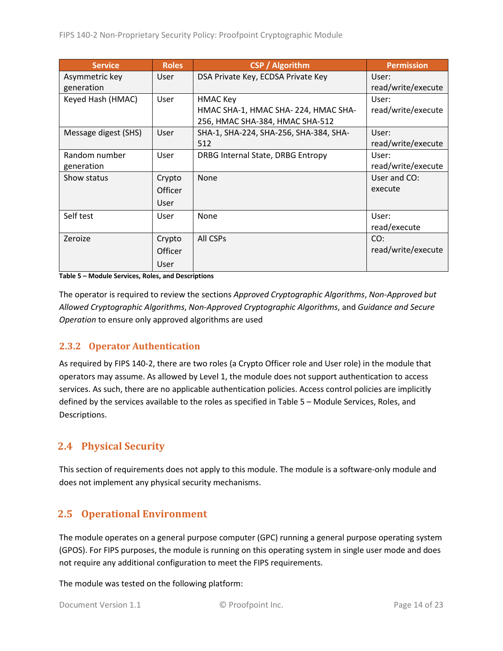| <b>Service</b>       | <b>Roles</b>   | <b>CSP</b> / Algorithm                 | <b>Permission</b>  |
|----------------------|----------------|----------------------------------------|--------------------|
| Asymmetric key       | User           | DSA Private Key, ECDSA Private Key     | User:              |
| generation           |                |                                        | read/write/execute |
| Keyed Hash (HMAC)    | User           | <b>HMAC Key</b>                        | User:              |
|                      |                | HMAC SHA-1, HMAC SHA-224, HMAC SHA-    | read/write/execute |
|                      |                | 256, HMAC SHA-384, HMAC SHA-512        |                    |
| Message digest (SHS) | User           | SHA-1, SHA-224, SHA-256, SHA-384, SHA- | User:              |
|                      |                | 512                                    | read/write/execute |
| Random number        | User           | DRBG Internal State, DRBG Entropy      | User:              |
| generation           |                |                                        | read/write/execute |
| Show status          | Crypto         | <b>None</b>                            | User and CO:       |
|                      | Officer        |                                        | execute            |
|                      | User           |                                        |                    |
| Self test            | <b>User</b>    | None                                   | User:              |
|                      |                |                                        | read/execute       |
| Zeroize              | Crypto         | All CSPs                               | CO:                |
|                      | <b>Officer</b> |                                        | read/write/execute |
|                      | User           |                                        |                    |

<span id="page-13-3"></span>**Table 5 – Module Services, Roles, and Descriptions**

The operator is required to review the sections *Approved Cryptographic Algorithms*, *Non-Approved but Allowed Cryptographic Algorithms*, *Non-Approved Cryptographic Algorithms*, and *Guidance and Secure Operation* to ensure only approved algorithms are used

#### <span id="page-13-0"></span>**2.3.2 Operator Authentication**

As required by FIPS 140-2, there are two roles (a Crypto Officer role and User role) in the module that operators may assume. As allowed by Level 1, the module does not support authentication to access services. As such, there are no applicable authentication policies. Access control policies are implicitly defined by the services available to the roles as specified in Table 5 – Module [Services, Roles,](#page-13-3) and [Descriptions.](#page-13-3)

## <span id="page-13-1"></span>**2.4 Physical Security**

This section of requirements does not apply to this module. The module is a software-only module and does not implement any physical security mechanisms.

## <span id="page-13-2"></span>**2.5 Operational Environment**

The module operates on a general purpose computer (GPC) running a general purpose operating system (GPOS). For FIPS purposes, the module is running on this operating system in single user mode and does not require any additional configuration to meet the FIPS requirements.

The module was tested on the following platform: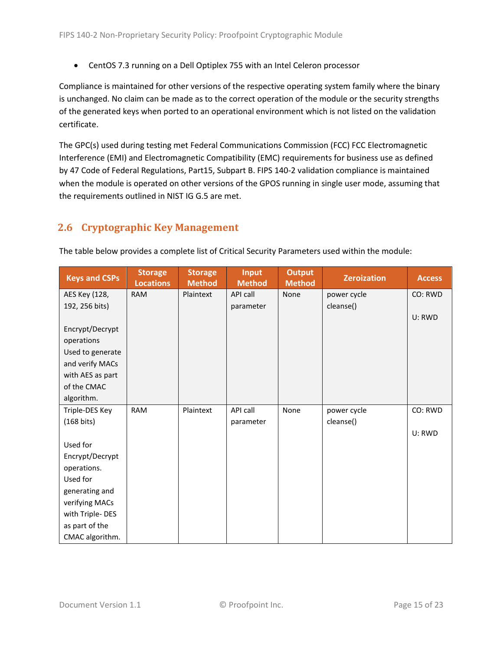• CentOS 7.3 running on a Dell Optiplex 755 with an Intel Celeron processor

Compliance is maintained for other versions of the respective operating system family where the binary is unchanged. No claim can be made as to the correct operation of the module or the security strengths of the generated keys when ported to an operational environment which is not listed on the validation certificate.

The GPC(s) used during testing met Federal Communications Commission (FCC) FCC Electromagnetic Interference (EMI) and Electromagnetic Compatibility (EMC) requirements for business use as defined by 47 Code of Federal Regulations, Part15, Subpart B. FIPS 140-2 validation compliance is maintained when the module is operated on other versions of the GPOS running in single user mode, assuming that the requirements outlined in NIST IG G.5 are met.

# <span id="page-14-0"></span>**2.6 Cryptographic Key Management**

| <b>Keys and CSPs</b> | <b>Storage</b><br><b>Locations</b> | <b>Storage</b><br><b>Method</b> | <b>Input</b><br><b>Method</b> | <b>Output</b><br><b>Method</b> | <b>Zeroization</b> | <b>Access</b> |
|----------------------|------------------------------------|---------------------------------|-------------------------------|--------------------------------|--------------------|---------------|
| AES Key (128,        | <b>RAM</b>                         | Plaintext                       | API call                      | None                           | power cycle        | CO: RWD       |
| 192, 256 bits)       |                                    |                                 | parameter                     |                                | cleanse()          |               |
|                      |                                    |                                 |                               |                                |                    | U: RWD        |
| Encrypt/Decrypt      |                                    |                                 |                               |                                |                    |               |
| operations           |                                    |                                 |                               |                                |                    |               |
| Used to generate     |                                    |                                 |                               |                                |                    |               |
| and verify MACs      |                                    |                                 |                               |                                |                    |               |
| with AES as part     |                                    |                                 |                               |                                |                    |               |
| of the CMAC          |                                    |                                 |                               |                                |                    |               |
| algorithm.           |                                    |                                 |                               |                                |                    |               |
| Triple-DES Key       | <b>RAM</b>                         | Plaintext                       | API call                      | None                           | power cycle        | CO: RWD       |
| $(168 \text{ bits})$ |                                    |                                 | parameter                     |                                | cleanse()          |               |
|                      |                                    |                                 |                               |                                |                    | U: RWD        |
| Used for             |                                    |                                 |                               |                                |                    |               |
| Encrypt/Decrypt      |                                    |                                 |                               |                                |                    |               |
| operations.          |                                    |                                 |                               |                                |                    |               |
| Used for             |                                    |                                 |                               |                                |                    |               |
| generating and       |                                    |                                 |                               |                                |                    |               |
| verifying MACs       |                                    |                                 |                               |                                |                    |               |
| with Triple-DES      |                                    |                                 |                               |                                |                    |               |
| as part of the       |                                    |                                 |                               |                                |                    |               |
| CMAC algorithm.      |                                    |                                 |                               |                                |                    |               |

The table below provides a complete list of Critical Security Parameters used within the module: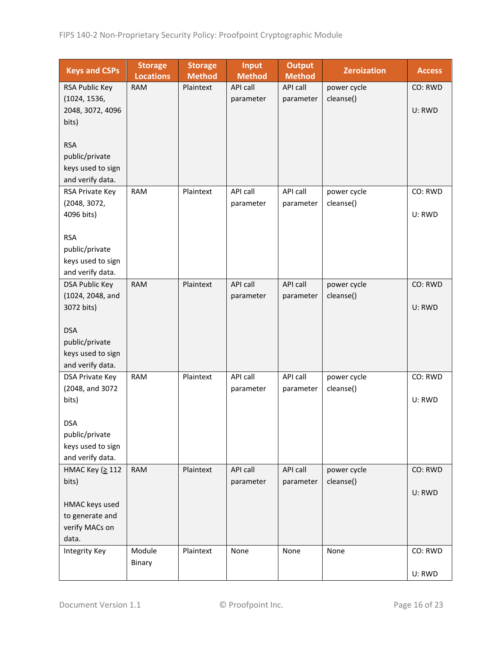| <b>Keys and CSPs</b>                      | <b>Storage</b><br><b>Locations</b> | <b>Storage</b><br><b>Method</b> | <b>Input</b><br><b>Method</b> | <b>Output</b><br><b>Method</b> | <b>Zeroization</b>       | <b>Access</b> |
|-------------------------------------------|------------------------------------|---------------------------------|-------------------------------|--------------------------------|--------------------------|---------------|
| RSA Public Key                            | <b>RAM</b>                         | Plaintext                       | API call                      | API call                       | power cycle              | CO: RWD       |
| (1024, 1536,                              |                                    |                                 | parameter                     | parameter                      | cleanse()                |               |
| 2048, 3072, 4096                          |                                    |                                 |                               |                                |                          | U: RWD        |
| bits)                                     |                                    |                                 |                               |                                |                          |               |
|                                           |                                    |                                 |                               |                                |                          |               |
| <b>RSA</b>                                |                                    |                                 |                               |                                |                          |               |
| public/private                            |                                    |                                 |                               |                                |                          |               |
| keys used to sign                         |                                    |                                 |                               |                                |                          |               |
| and verify data.                          |                                    |                                 |                               |                                |                          |               |
| RSA Private Key                           | <b>RAM</b>                         | Plaintext                       | API call                      | API call                       | power cycle              | CO: RWD       |
| (2048, 3072,                              |                                    |                                 | parameter                     | parameter                      | cleanse()                |               |
| 4096 bits)                                |                                    |                                 |                               |                                |                          | U: RWD        |
|                                           |                                    |                                 |                               |                                |                          |               |
| <b>RSA</b>                                |                                    |                                 |                               |                                |                          |               |
| public/private                            |                                    |                                 |                               |                                |                          |               |
| keys used to sign                         |                                    |                                 |                               |                                |                          |               |
| and verify data.                          | <b>RAM</b>                         | Plaintext                       | API call                      | API call                       |                          | CO: RWD       |
| <b>DSA Public Key</b><br>(1024, 2048, and |                                    |                                 | parameter                     | parameter                      | power cycle<br>cleanse() |               |
| 3072 bits)                                |                                    |                                 |                               |                                |                          | U: RWD        |
|                                           |                                    |                                 |                               |                                |                          |               |
| <b>DSA</b>                                |                                    |                                 |                               |                                |                          |               |
| public/private                            |                                    |                                 |                               |                                |                          |               |
| keys used to sign                         |                                    |                                 |                               |                                |                          |               |
| and verify data.                          |                                    |                                 |                               |                                |                          |               |
| DSA Private Key                           | <b>RAM</b>                         | Plaintext                       | API call                      | API call                       | power cycle              | CO: RWD       |
| (2048, and 3072                           |                                    |                                 | parameter                     | parameter                      | cleanse()                |               |
| bits)                                     |                                    |                                 |                               |                                |                          | U: RWD        |
|                                           |                                    |                                 |                               |                                |                          |               |
| <b>DSA</b>                                |                                    |                                 |                               |                                |                          |               |
| public/private                            |                                    |                                 |                               |                                |                          |               |
| keys used to sign                         |                                    |                                 |                               |                                |                          |               |
| and verify data.                          |                                    |                                 |                               |                                |                          |               |
| HMAC Key (≥ 112                           | <b>RAM</b>                         | Plaintext                       | API call                      | API call                       | power cycle              | CO: RWD       |
| bits)                                     |                                    |                                 | parameter                     | parameter                      | cleanse()                |               |
|                                           |                                    |                                 |                               |                                |                          | U: RWD        |
| HMAC keys used                            |                                    |                                 |                               |                                |                          |               |
| to generate and                           |                                    |                                 |                               |                                |                          |               |
| verify MACs on<br>data.                   |                                    |                                 |                               |                                |                          |               |
| <b>Integrity Key</b>                      | Module                             | Plaintext                       | None                          | None                           | None                     | CO: RWD       |
|                                           | Binary                             |                                 |                               |                                |                          |               |
|                                           |                                    |                                 |                               |                                |                          | U: RWD        |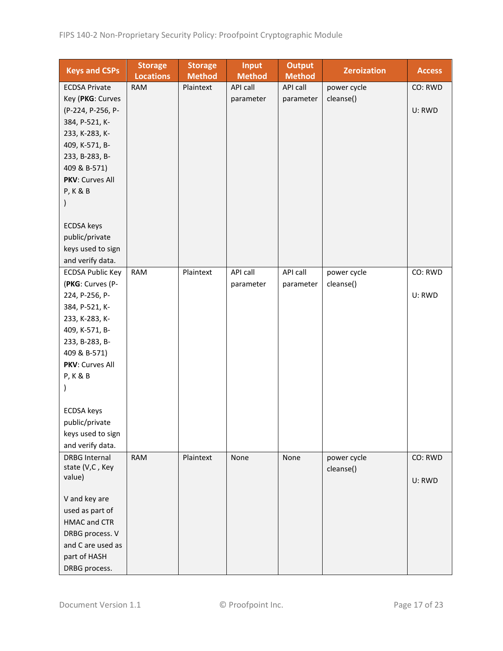| <b>Keys and CSPs</b>    | <b>Storage</b><br><b>Locations</b> | <b>Storage</b><br><b>Method</b> | <b>Input</b><br><b>Method</b> | <b>Output</b><br><b>Method</b> | <b>Zeroization</b> | <b>Access</b> |
|-------------------------|------------------------------------|---------------------------------|-------------------------------|--------------------------------|--------------------|---------------|
| <b>ECDSA Private</b>    | <b>RAM</b>                         | Plaintext                       | API call                      | API call                       | power cycle        | CO: RWD       |
| Key (PKG: Curves        |                                    |                                 | parameter                     | parameter                      | cleanse()          |               |
| (P-224, P-256, P-       |                                    |                                 |                               |                                |                    | U: RWD        |
| 384, P-521, K-          |                                    |                                 |                               |                                |                    |               |
| 233, K-283, K-          |                                    |                                 |                               |                                |                    |               |
| 409, K-571, B-          |                                    |                                 |                               |                                |                    |               |
| 233, B-283, B-          |                                    |                                 |                               |                                |                    |               |
| 409 & B-571)            |                                    |                                 |                               |                                |                    |               |
| PKV: Curves All         |                                    |                                 |                               |                                |                    |               |
| <b>P, K &amp; B</b>     |                                    |                                 |                               |                                |                    |               |
|                         |                                    |                                 |                               |                                |                    |               |
|                         |                                    |                                 |                               |                                |                    |               |
| <b>ECDSA</b> keys       |                                    |                                 |                               |                                |                    |               |
| public/private          |                                    |                                 |                               |                                |                    |               |
|                         |                                    |                                 |                               |                                |                    |               |
| keys used to sign       |                                    |                                 |                               |                                |                    |               |
| and verify data.        |                                    |                                 |                               |                                |                    |               |
| <b>ECDSA Public Key</b> | <b>RAM</b>                         | Plaintext                       | API call                      | API call                       | power cycle        | CO: RWD       |
| (PKG: Curves (P-        |                                    |                                 | parameter                     | parameter                      | cleanse()          |               |
| 224, P-256, P-          |                                    |                                 |                               |                                |                    | U: RWD        |
| 384, P-521, K-          |                                    |                                 |                               |                                |                    |               |
| 233, K-283, K-          |                                    |                                 |                               |                                |                    |               |
| 409, K-571, B-          |                                    |                                 |                               |                                |                    |               |
| 233, B-283, B-          |                                    |                                 |                               |                                |                    |               |
| 409 & B-571)            |                                    |                                 |                               |                                |                    |               |
| PKV: Curves All         |                                    |                                 |                               |                                |                    |               |
| <b>P, K &amp; B</b>     |                                    |                                 |                               |                                |                    |               |
|                         |                                    |                                 |                               |                                |                    |               |
|                         |                                    |                                 |                               |                                |                    |               |
| <b>ECDSA</b> keys       |                                    |                                 |                               |                                |                    |               |
| public/private          |                                    |                                 |                               |                                |                    |               |
| keys used to sign       |                                    |                                 |                               |                                |                    |               |
| and verify data.        |                                    |                                 |                               |                                |                    |               |
| <b>DRBG Internal</b>    | <b>RAM</b>                         | Plaintext                       | None                          | None                           | power cycle        | CO: RWD       |
| state (V,C, Key         |                                    |                                 |                               |                                | cleanse()          |               |
| value)                  |                                    |                                 |                               |                                |                    | U: RWD        |
|                         |                                    |                                 |                               |                                |                    |               |
| V and key are           |                                    |                                 |                               |                                |                    |               |
| used as part of         |                                    |                                 |                               |                                |                    |               |
| <b>HMAC and CTR</b>     |                                    |                                 |                               |                                |                    |               |
| DRBG process. V         |                                    |                                 |                               |                                |                    |               |
| and C are used as       |                                    |                                 |                               |                                |                    |               |
| part of HASH            |                                    |                                 |                               |                                |                    |               |
| DRBG process.           |                                    |                                 |                               |                                |                    |               |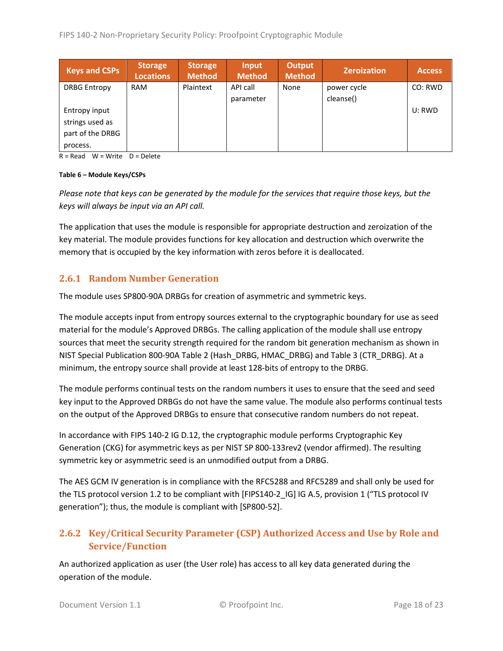| <b>Keys and CSPs</b> | <b>Storage</b><br>Locations | <b>Storage</b><br><b>Method</b> | Input<br><b>Method</b> | <b>Output</b><br><b>Method</b> | <b>Zeroization</b> | <b>Access</b> |
|----------------------|-----------------------------|---------------------------------|------------------------|--------------------------------|--------------------|---------------|
| <b>DRBG Entropy</b>  | <b>RAM</b>                  | Plaintext                       | API call               | None                           | power cycle        | CO: RWD       |
|                      |                             |                                 | parameter              |                                | cleanse()          |               |
| Entropy input        |                             |                                 |                        |                                |                    | U: RWD        |
| strings used as      |                             |                                 |                        |                                |                    |               |
| part of the DRBG     |                             |                                 |                        |                                |                    |               |
| process.             |                             |                                 |                        |                                |                    |               |

 $R = Read$  W = Write D = Delete

#### **Table 6 – Module Keys/CSPs**

*Please note that keys can be generated by the module for the services that require those keys, but the keys will always be input via an API call.*

The application that uses the module is responsible for appropriate destruction and zeroization of the key material. The module provides functions for key allocation and destruction which overwrite the memory that is occupied by the key information with zeros before it is deallocated.

#### <span id="page-17-0"></span>**2.6.1 Random Number Generation**

The module uses SP800-90A DRBGs for creation of asymmetric and symmetric keys.

The module accepts input from entropy sources external to the cryptographic boundary for use as seed material for the module's Approved DRBGs. The calling application of the module shall use entropy sources that meet the security strength required for the random bit generation mechanism as shown in NIST Special Publication 800-90A Table 2 (Hash\_DRBG, HMAC\_DRBG) and Table 3 (CTR\_DRBG). At a minimum, the entropy source shall provide at least 128-bits of entropy to the DRBG.

The module performs continual tests on the random numbers it uses to ensure that the seed and seed key input to the Approved DRBGs do not have the same value. The module also performs continual tests on the output of the Approved DRBGs to ensure that consecutive random numbers do not repeat.

In accordance with FIPS 140-2 IG D.12, the cryptographic module performs Cryptographic Key Generation (CKG) for asymmetric keys as per NIST SP 800-133rev2 (vendor affirmed). The resulting symmetric key or asymmetric seed is an unmodified output from a DRBG.

The AES GCM IV generation is in compliance with the RFC5288 and RFC5289 and shall only be used for the TLS protocol version 1.2 to be compliant with [FIPS140-2 IG] IG A.5, provision 1 ("TLS protocol IV generation"); thus, the module is compliant with [SP800-52].

## <span id="page-17-1"></span>**2.6.2 Key/Critical Security Parameter (CSP) Authorized Access and Use by Role and Service/Function**

An authorized application as user (the User role) has access to all key data generated during the operation of the module.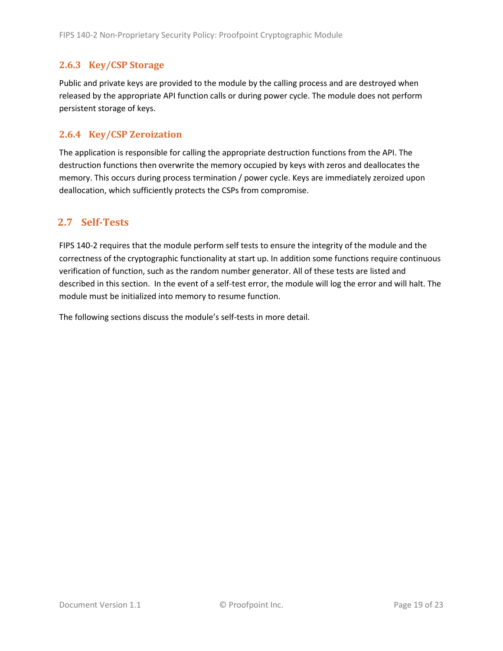#### <span id="page-18-0"></span>**2.6.3 Key/CSP Storage**

Public and private keys are provided to the module by the calling process and are destroyed when released by the appropriate API function calls or during power cycle. The module does not perform persistent storage of keys.

#### <span id="page-18-1"></span>**2.6.4 Key/CSP Zeroization**

The application is responsible for calling the appropriate destruction functions from the API. The destruction functions then overwrite the memory occupied by keys with zeros and deallocates the memory. This occurs during process termination / power cycle. Keys are immediately zeroized upon deallocation, which sufficiently protects the CSPs from compromise.

## <span id="page-18-2"></span>**2.7 Self-Tests**

FIPS 140-2 requires that the module perform self tests to ensure the integrity of the module and the correctness of the cryptographic functionality at start up. In addition some functions require continuous verification of function, such as the random number generator. All of these tests are listed and described in this section. In the event of a self-test error, the module will log the error and will halt. The module must be initialized into memory to resume function.

The following sections discuss the module's self-tests in more detail.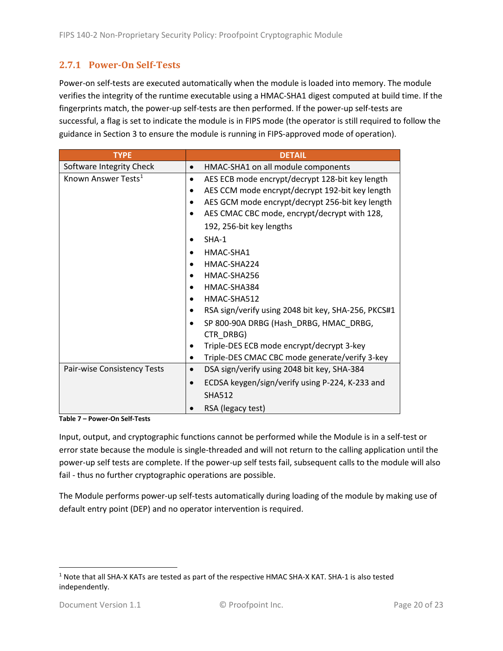#### <span id="page-19-0"></span>**2.7.1 Power-On Self-Tests**

Power-on self-tests are executed automatically when the module is loaded into memory. The module verifies the integrity of the runtime executable using a HMAC-SHA1 digest computed at build time. If the fingerprints match, the power-up self-tests are then performed. If the power-up self-tests are successful, a flag is set to indicate the module is in FIPS mode (the operator is still required to follow the guidance in Section 3 to ensure the module is running in FIPS-approved mode of operation).

| <b>TYPE</b>                     | <b>DETAIL</b>                                            |  |  |  |  |
|---------------------------------|----------------------------------------------------------|--|--|--|--|
| Software Integrity Check        | HMAC-SHA1 on all module components                       |  |  |  |  |
| Known Answer Tests <sup>1</sup> | AES ECB mode encrypt/decrypt 128-bit key length<br>٠     |  |  |  |  |
|                                 | AES CCM mode encrypt/decrypt 192-bit key length          |  |  |  |  |
|                                 | AES GCM mode encrypt/decrypt 256-bit key length          |  |  |  |  |
|                                 | AES CMAC CBC mode, encrypt/decrypt with 128,             |  |  |  |  |
|                                 | 192, 256-bit key lengths                                 |  |  |  |  |
|                                 | $SHA-1$                                                  |  |  |  |  |
|                                 | HMAC-SHA1                                                |  |  |  |  |
|                                 | HMAC-SHA224<br>$\bullet$                                 |  |  |  |  |
|                                 | HMAC-SHA256                                              |  |  |  |  |
|                                 | HMAC-SHA384                                              |  |  |  |  |
|                                 | HMAC-SHA512                                              |  |  |  |  |
|                                 | RSA sign/verify using 2048 bit key, SHA-256, PKCS#1      |  |  |  |  |
|                                 | SP 800-90A DRBG (Hash DRBG, HMAC DRBG,<br>CTR DRBG)      |  |  |  |  |
|                                 | Triple-DES ECB mode encrypt/decrypt 3-key                |  |  |  |  |
|                                 | Triple-DES CMAC CBC mode generate/verify 3-key<br>٠      |  |  |  |  |
| Pair-wise Consistency Tests     | DSA sign/verify using 2048 bit key, SHA-384<br>$\bullet$ |  |  |  |  |
|                                 | ECDSA keygen/sign/verify using P-224, K-233 and          |  |  |  |  |
|                                 | <b>SHA512</b>                                            |  |  |  |  |
|                                 | RSA (legacy test)                                        |  |  |  |  |

**Table 7 – Power-On Self-Tests**

Input, output, and cryptographic functions cannot be performed while the Module is in a self-test or error state because the module is single-threaded and will not return to the calling application until the power-up self tests are complete. If the power-up self tests fail, subsequent calls to the module will also fail - thus no further cryptographic operations are possible.

The Module performs power-up self-tests automatically during loading of the module by making use of default entry point (DEP) and no operator intervention is required.

<span id="page-19-1"></span><sup>1</sup> Note that all SHA-X KATs are tested as part of the respective HMAC SHA-X KAT. SHA-1 is also tested independently.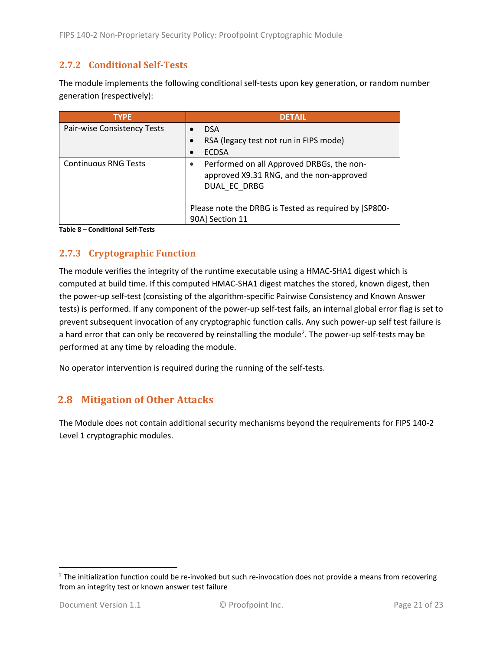#### <span id="page-20-0"></span>**2.7.2 Conditional Self-Tests**

The module implements the following conditional self-tests upon key generation, or random number generation (respectively):

| <b>TYPE</b>                 | <b>DETAIL</b>                                                                                         |
|-----------------------------|-------------------------------------------------------------------------------------------------------|
| Pair-wise Consistency Tests | <b>DSA</b>                                                                                            |
|                             | RSA (legacy test not run in FIPS mode)                                                                |
|                             | <b>ECDSA</b>                                                                                          |
| <b>Continuous RNG Tests</b> | Performed on all Approved DRBGs, the non-<br>approved X9.31 RNG, and the non-approved<br>DUAL EC DRBG |
|                             | Please note the DRBG is Tested as required by [SP800-<br>90A] Section 11                              |

**Table 8 – Conditional Self-Tests**

## <span id="page-20-1"></span>**2.7.3 Cryptographic Function**

The module verifies the integrity of the runtime executable using a HMAC-SHA1 digest which is computed at build time. If this computed HMAC-SHA1 digest matches the stored, known digest, then the power-up self-test (consisting of the algorithm-specific Pairwise Consistency and Known Answer tests) is performed. If any component of the power-up self-test fails, an internal global error flag is set to prevent subsequent invocation of any cryptographic function calls. Any such power-up self test failure is a hard error that can only be recovered by reinstalling the module<sup>[2](#page-20-3)</sup>. The power-up self-tests may be performed at any time by reloading the module.

No operator intervention is required during the running of the self-tests.

## <span id="page-20-2"></span>**2.8 Mitigation of Other Attacks**

The Module does not contain additional security mechanisms beyond the requirements for FIPS 140-2 Level 1 cryptographic modules.

<span id="page-20-3"></span> $2$  The initialization function could be re-invoked but such re-invocation does not provide a means from recovering from an integrity test or known answer test failure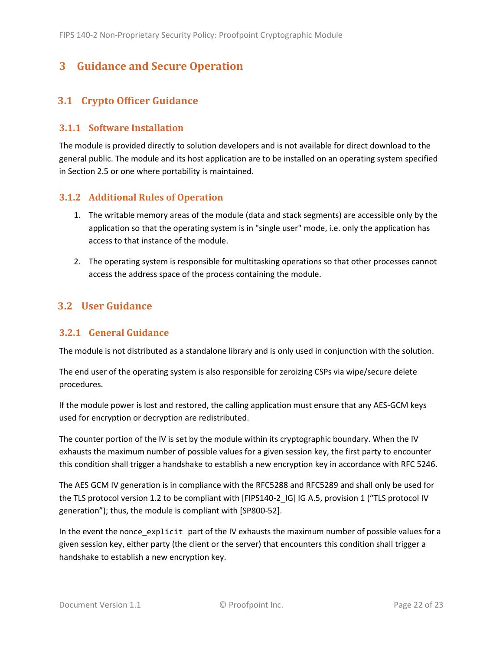# <span id="page-21-0"></span>**3 Guidance and Secure Operation**

## <span id="page-21-1"></span>**3.1 Crypto Officer Guidance**

#### <span id="page-21-2"></span>**3.1.1 Software Installation**

The module is provided directly to solution developers and is not available for direct download to the general public. The module and its host application are to be installed on an operating system specified in Section [2.5](#page-13-2) or one where portability is maintained.

#### <span id="page-21-3"></span>**3.1.2 Additional Rules of Operation**

- 1. The writable memory areas of the module (data and stack segments) are accessible only by the application so that the operating system is in "single user" mode, i.e. only the application has access to that instance of the module.
- 2. The operating system is responsible for multitasking operations so that other processes cannot access the address space of the process containing the module.

## <span id="page-21-4"></span>**3.2 User Guidance**

#### <span id="page-21-5"></span>**3.2.1 General Guidance**

The module is not distributed as a standalone library and is only used in conjunction with the solution.

The end user of the operating system is also responsible for zeroizing CSPs via wipe/secure delete procedures.

If the module power is lost and restored, the calling application must ensure that any AES-GCM keys used for encryption or decryption are redistributed.

The counter portion of the IV is set by the module within its cryptographic boundary. When the IV exhausts the maximum number of possible values for a given session key, the first party to encounter this condition shall trigger a handshake to establish a new encryption key in accordance with RFC 5246.

The AES GCM IV generation is in compliance with the RFC5288 and RFC5289 and shall only be used for the TLS protocol version 1.2 to be compliant with [FIPS140-2 IG] IG A.5, provision 1 ("TLS protocol IV generation"); thus, the module is compliant with [SP800-52].

In the event the nonce\_explicit part of the IV exhausts the maximum number of possible values for a given session key, either party (the client or the server) that encounters this condition shall trigger a handshake to establish a new encryption key.